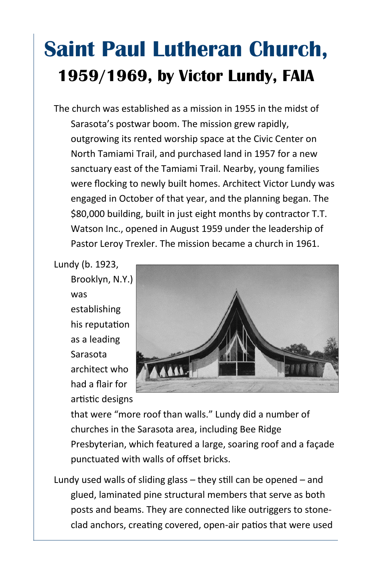## **Saint Paul Lutheran Church, 1959/1969, by Victor Lundy, FAIA**

The church was established as a mission in 1955 in the midst of Sarasota's postwar boom. The mission grew rapidly, outgrowing its rented worship space at the Civic Center on North Tamiami Trail, and purchased land in 1957 for a new sanctuary east of the Tamiami Trail. Nearby, young families were flocking to newly built homes. Architect Victor Lundy was engaged in October of that year, and the planning began. The \$80,000 building, built in just eight months by contractor T.T. Watson Inc., opened in August 1959 under the leadership of Pastor Leroy Trexler. The mission became a church in 1961.

Lundy (b. 1923,

Brooklyn, N.Y.) was establishing his reputation as a leading Sarasota architect who had a flair for artistic designs



that were "more roof than walls." Lundy did a number of churches in the Sarasota area, including Bee Ridge Presbyterian, which featured a large, soaring roof and a façade punctuated with walls of offset bricks.

Lundy used walls of sliding glass – they still can be opened – and glued, laminated pine structural members that serve as both posts and beams. They are connected like outriggers to stoneclad anchors, creating covered, open-air patios that were used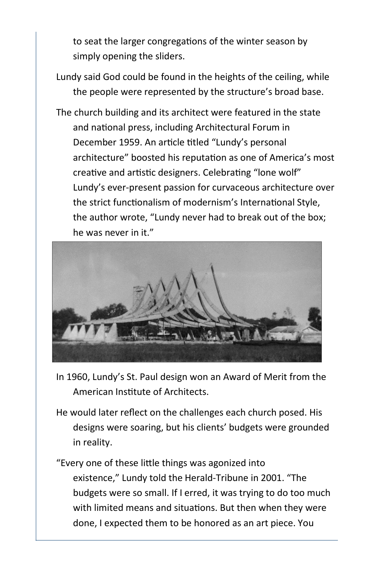to seat the larger congregations of the winter season by simply opening the sliders.

- Lundy said God could be found in the heights of the ceiling, while the people were represented by the structure's broad base.
- The church building and its architect were featured in the state and national press, including Architectural Forum in December 1959. An article titled "Lundy's personal architecture" boosted his reputation as one of America's most creative and artistic designers. Celebrating "lone wolf" Lundy's ever-present passion for curvaceous architecture over the strict functionalism of modernism's International Style, the author wrote, "Lundy never had to break out of the box; he was never in it."



- In 1960, Lundy's St. Paul design won an Award of Merit from the American Institute of Architects.
- He would later reflect on the challenges each church posed. His designs were soaring, but his clients' budgets were grounded in reality.
- "Every one of these little things was agonized into existence," Lundy told the Herald-Tribune in 2001. "The budgets were so small. If I erred, it was trying to do too much with limited means and situations. But then when they were done, I expected them to be honored as an art piece. You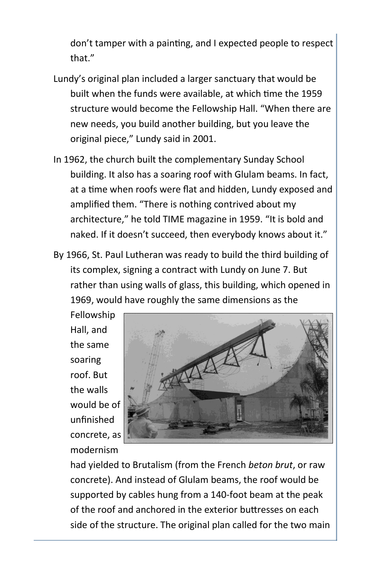don't tamper with a painting, and I expected people to respect that."

- Lundy's original plan included a larger sanctuary that would be built when the funds were available, at which time the 1959 structure would become the Fellowship Hall. "When there are new needs, you build another building, but you leave the original piece," Lundy said in 2001.
- In 1962, the church built the complementary Sunday School building. It also has a soaring roof with Glulam beams. In fact, at a time when roofs were flat and hidden, Lundy exposed and amplified them. "There is nothing contrived about my architecture," he told TIME magazine in 1959. "It is bold and naked. If it doesn't succeed, then everybody knows about it."
- By 1966, St. Paul Lutheran was ready to build the third building of its complex, signing a contract with Lundy on June 7. But rather than using walls of glass, this building, which opened in 1969, would have roughly the same dimensions as the

Fellowship Hall, and the same soaring roof. But the walls would be of unfinished concrete, as modernism



had yielded to Brutalism (from the French *beton brut*, or raw concrete). And instead of Glulam beams, the roof would be supported by cables hung from a 140-foot beam at the peak of the roof and anchored in the exterior buttresses on each side of the structure. The original plan called for the two main